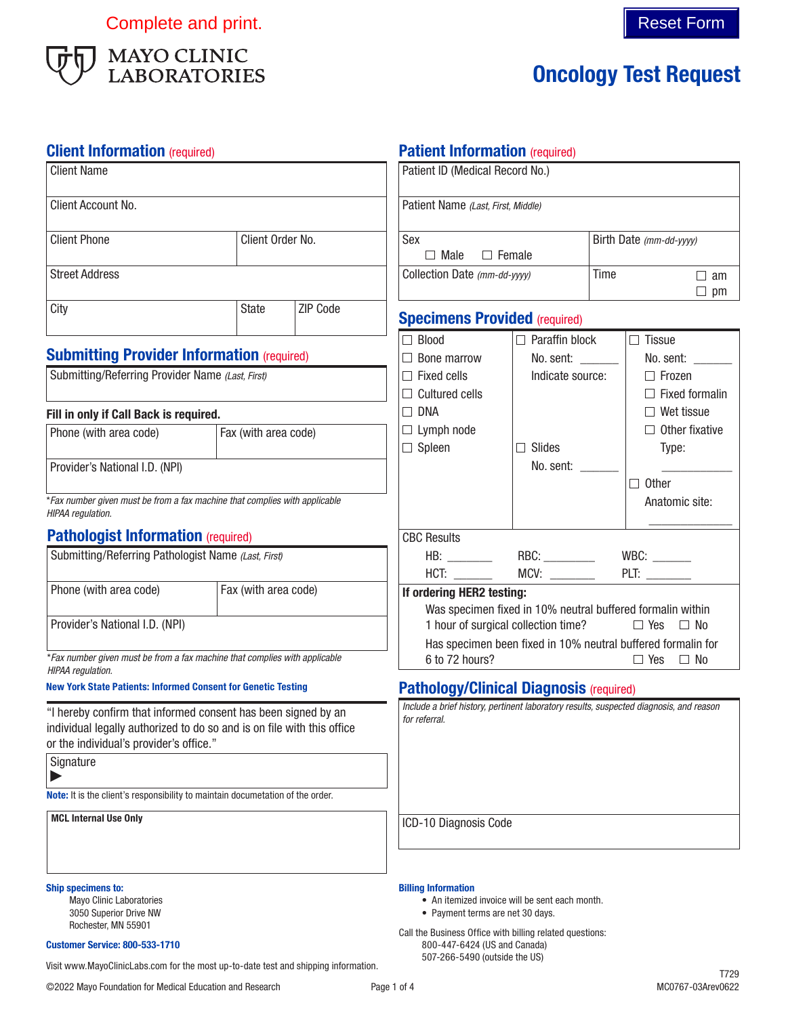Complete and print. Complete and print.



# Oncology Test Request

| <b>Client Information (required)</b>                                                                                                                                               |                      |          | <b>Patient Information (required)</b>                                                                                      |                                                       |  |                                                                                         |  |
|------------------------------------------------------------------------------------------------------------------------------------------------------------------------------------|----------------------|----------|----------------------------------------------------------------------------------------------------------------------------|-------------------------------------------------------|--|-----------------------------------------------------------------------------------------|--|
| <b>Client Name</b><br>Client Account No.                                                                                                                                           |                      |          | Patient ID (Medical Record No.)                                                                                            |                                                       |  |                                                                                         |  |
|                                                                                                                                                                                    |                      |          |                                                                                                                            | Patient Name (Last, First, Middle)                    |  |                                                                                         |  |
| <b>Client Phone</b>                                                                                                                                                                | Client Order No.     |          | Sex<br>$\Box$ Male                                                                                                         |                                                       |  | Birth Date (mm-dd-yyyy)                                                                 |  |
| <b>Street Address</b>                                                                                                                                                              |                      |          |                                                                                                                            | $\Box$ Female<br>Collection Date (mm-dd-yyyy)<br>Time |  | $\Box$ am<br>$\Box$ pm                                                                  |  |
| City                                                                                                                                                                               | State                | ZIP Code | <b>Specimens Provided (required)</b>                                                                                       |                                                       |  |                                                                                         |  |
|                                                                                                                                                                                    |                      |          | $\Box$ Blood                                                                                                               | $\Box$ Paraffin block                                 |  | $\Box$ Tissue                                                                           |  |
| <b>Submitting Provider Information (required)</b>                                                                                                                                  |                      |          | $\Box$ Bone marrow                                                                                                         | No. sent: $\frac{1}{1}$                               |  | No. sent:                                                                               |  |
| Submitting/Referring Provider Name (Last, First)                                                                                                                                   |                      |          | $\Box$ Fixed cells                                                                                                         | Indicate source:                                      |  | $\Box$ Frozen                                                                           |  |
|                                                                                                                                                                                    |                      |          | $\Box$ Cultured cells                                                                                                      |                                                       |  | $\Box$ Fixed formalin                                                                   |  |
| Fill in only if Call Back is required.                                                                                                                                             |                      |          | $\Box$ DNA                                                                                                                 |                                                       |  | $\Box$ Wet tissue                                                                       |  |
| Phone (with area code)                                                                                                                                                             | Fax (with area code) |          | $\Box$ Lymph node                                                                                                          |                                                       |  | $\Box$ Other fixative                                                                   |  |
|                                                                                                                                                                                    |                      |          | $\Box$ Spleen                                                                                                              | $\Box$ Slides                                         |  | Type:                                                                                   |  |
| Provider's National I.D. (NPI)                                                                                                                                                     |                      |          |                                                                                                                            | No. sent: ______                                      |  |                                                                                         |  |
|                                                                                                                                                                                    |                      |          |                                                                                                                            |                                                       |  | $\Box$ Other                                                                            |  |
| *Fax number given must be from a fax machine that complies with applicable<br>HIPAA regulation.                                                                                    |                      |          |                                                                                                                            |                                                       |  | Anatomic site:                                                                          |  |
| <b>Pathologist Information (required)</b>                                                                                                                                          |                      |          | <b>CBC Results</b>                                                                                                         |                                                       |  |                                                                                         |  |
| Submitting/Referring Pathologist Name (Last, First)                                                                                                                                |                      |          |                                                                                                                            |                                                       |  |                                                                                         |  |
|                                                                                                                                                                                    |                      |          |                                                                                                                            | HCT: __________  MCV: _________                       |  | PLT: $\_\_$                                                                             |  |
| Phone (with area code)                                                                                                                                                             | Fax (with area code) |          | If ordering HER2 testing:                                                                                                  |                                                       |  |                                                                                         |  |
|                                                                                                                                                                                    |                      |          |                                                                                                                            |                                                       |  | Was specimen fixed in 10% neutral buffered formalin within                              |  |
| Provider's National I.D. (NPI)                                                                                                                                                     |                      |          |                                                                                                                            | 1 hour of surgical collection time?                   |  | $\Box$ Yes $\Box$ No                                                                    |  |
| *Fax number given must be from a fax machine that complies with applicable<br>HIPAA regulation.                                                                                    |                      |          | 6 to 72 hours?                                                                                                             |                                                       |  | Has specimen been fixed in 10% neutral buffered formalin for<br>$\Box$ No<br>$\Box$ Yes |  |
| <b>New York State Patients: Informed Consent for Genetic Testing</b>                                                                                                               |                      |          | <b>Pathology/Clinical Diagnosis (required)</b>                                                                             |                                                       |  |                                                                                         |  |
| "I hereby confirm that informed consent has been signed by an<br>individual legally authorized to do so and is on file with this office<br>or the individual's provider's office." |                      |          | <i>tor reterral.</i>                                                                                                       |                                                       |  | Include a brief history, pertinent laboratory results, suspected diagnosis, and reason  |  |
| Signature                                                                                                                                                                          |                      |          |                                                                                                                            |                                                       |  |                                                                                         |  |
| Note: It is the client's responsibility to maintain documetation of the order.                                                                                                     |                      |          |                                                                                                                            |                                                       |  |                                                                                         |  |
| <b>MCL Internal Use Only</b>                                                                                                                                                       |                      |          | ICD-10 Diagnosis Code                                                                                                      |                                                       |  |                                                                                         |  |
| <b>Ship specimens to:</b><br><b>Mayo Clinic Laboratories</b><br>3050 Superior Drive NW<br>Rochester, MN 55901                                                                      |                      |          | <b>Billing Information</b><br>• Payment terms are net 30 days.<br>Call the Business Office with billing related questions: | • An itemized invoice will be sent each month.        |  |                                                                                         |  |
| <b>Customer Service: 800-533-1710</b>                                                                                                                                              |                      |          | 800-447-6424 (US and Canada)<br>507-266-5490 (outside the US)                                                              |                                                       |  |                                                                                         |  |
| Visit www.MayoClinicLabs.com for the most up-to-date test and shipping information.                                                                                                |                      |          |                                                                                                                            |                                                       |  |                                                                                         |  |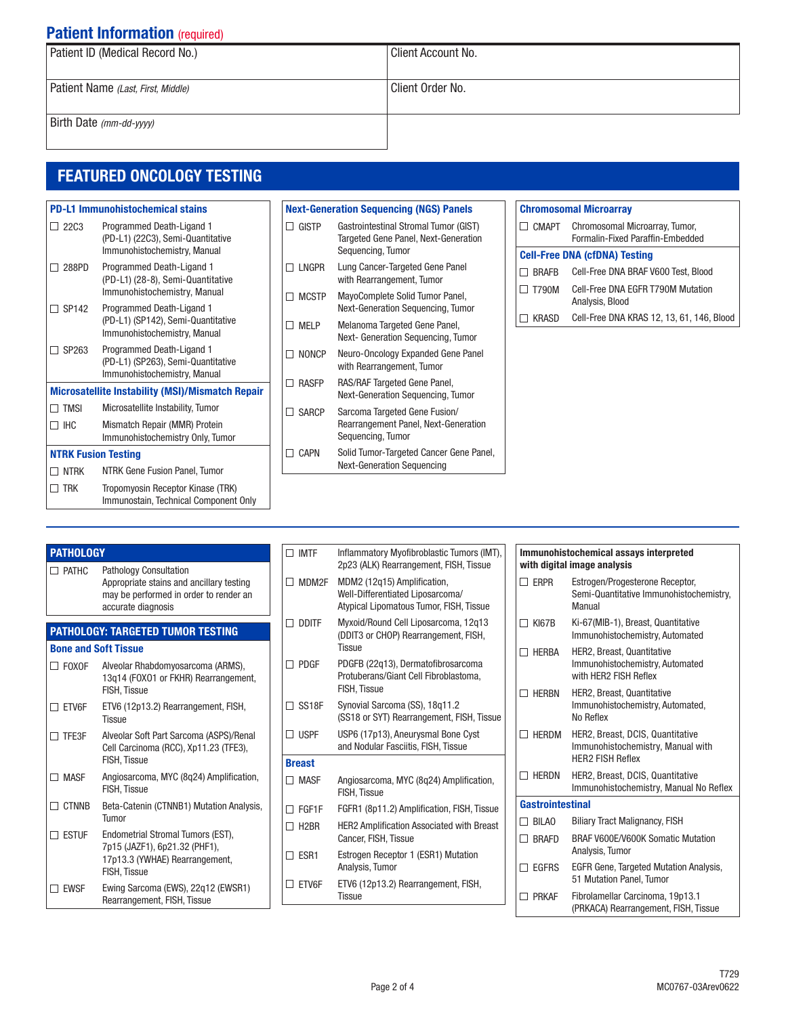## **Patient Information (required)**

| Patient ID (Medical Record No.)    | Client Account No. |  |  |
|------------------------------------|--------------------|--|--|
|                                    |                    |  |  |
| Patient Name (Last, First, Middle) | Client Order No.   |  |  |
|                                    |                    |  |  |
| Birth Date (mm-dd-yyyy)            |                    |  |  |
|                                    |                    |  |  |

## FEATURED ONCOLOGY TESTING

| <b>PD-L1 Immunohistochemical stains</b>                 |                                                                                                 |  |  |
|---------------------------------------------------------|-------------------------------------------------------------------------------------------------|--|--|
| <b>22C3</b>                                             | Programmed Death-Ligand 1<br>(PD-L1) (22C3), Semi-Quantitative<br>Immunohistochemistry, Manual  |  |  |
| 288PD                                                   | Programmed Death-Ligand 1<br>(PD-L1) (28-8), Semi-Quantitative<br>Immunohistochemistry, Manual  |  |  |
| SP142                                                   | Programmed Death-Ligand 1<br>(PD-L1) (SP142), Semi-Quantitative<br>Immunohistochemistry, Manual |  |  |
| SP <sub>263</sub>                                       | Programmed Death-Ligand 1<br>(PD-L1) (SP263), Semi-Quantitative<br>Immunohistochemistry, Manual |  |  |
| <b>Microsatellite Instability (MSI)/Mismatch Repair</b> |                                                                                                 |  |  |
| <b>TMSI</b>                                             | Microsatellite Instability, Tumor                                                               |  |  |
| <b>IHC</b>                                              | Mismatch Repair (MMR) Protein<br>Immunohistochemistry Only, Tumor                               |  |  |
| <b>NTRK Fusion Testing</b>                              |                                                                                                 |  |  |
| <b>NTRK</b>                                             | NTRK Gene Fusion Panel, Tumor                                                                   |  |  |
| <b>TRK</b>                                              | Tropomyosin Receptor Kinase (TRK)<br>Immunostain, Technical Component Only                      |  |  |

| <b>Next-Generation Sequencing (NGS) Panels</b><br><b>GISTP</b><br>Gastrointestinal Stromal Tumor (GIST)<br><b>Targeted Gene Panel, Next-Generation</b><br>Sequencing, Tumor<br>LNGPR<br>Lung Cancer-Targeted Gene Panel<br>with Rearrangement, Tumor<br>MayoComplete Solid Tumor Panel,<br><b>MCSTP</b><br>Next-Generation Sequencing, Tumor<br>Melanoma Targeted Gene Panel,<br>MFI P<br>Next- Generation Sequencing, Tumor<br>Neuro-Oncology Expanded Gene Panel<br><b>NONCP</b><br>with Rearrangement, Tumor<br>RAS/RAF Targeted Gene Panel,<br><b>RASFP</b><br>Next-Generation Sequencing, Tumor<br>Sarcoma Targeted Gene Fusion/<br><b>SARCP</b><br>Rearrangement Panel, Next-Generation<br>Sequencing, Tumor<br>Solid Tumor-Targeted Cancer Gene Panel,<br><b>CAPN</b> |  |  |                                   |  |  |
|------------------------------------------------------------------------------------------------------------------------------------------------------------------------------------------------------------------------------------------------------------------------------------------------------------------------------------------------------------------------------------------------------------------------------------------------------------------------------------------------------------------------------------------------------------------------------------------------------------------------------------------------------------------------------------------------------------------------------------------------------------------------------|--|--|-----------------------------------|--|--|
|                                                                                                                                                                                                                                                                                                                                                                                                                                                                                                                                                                                                                                                                                                                                                                              |  |  |                                   |  |  |
|                                                                                                                                                                                                                                                                                                                                                                                                                                                                                                                                                                                                                                                                                                                                                                              |  |  |                                   |  |  |
|                                                                                                                                                                                                                                                                                                                                                                                                                                                                                                                                                                                                                                                                                                                                                                              |  |  |                                   |  |  |
|                                                                                                                                                                                                                                                                                                                                                                                                                                                                                                                                                                                                                                                                                                                                                                              |  |  |                                   |  |  |
|                                                                                                                                                                                                                                                                                                                                                                                                                                                                                                                                                                                                                                                                                                                                                                              |  |  |                                   |  |  |
|                                                                                                                                                                                                                                                                                                                                                                                                                                                                                                                                                                                                                                                                                                                                                                              |  |  |                                   |  |  |
|                                                                                                                                                                                                                                                                                                                                                                                                                                                                                                                                                                                                                                                                                                                                                                              |  |  |                                   |  |  |
|                                                                                                                                                                                                                                                                                                                                                                                                                                                                                                                                                                                                                                                                                                                                                                              |  |  |                                   |  |  |
|                                                                                                                                                                                                                                                                                                                                                                                                                                                                                                                                                                                                                                                                                                                                                                              |  |  | <b>Next-Generation Sequencing</b> |  |  |

|                                                                          | <b>Chromosomal Microarray</b>        |                                                      |  |
|--------------------------------------------------------------------------|--------------------------------------|------------------------------------------------------|--|
| CMAPT Chromosomal Microarray, Tumor,<br>Formalin-Fixed Paraffin-Embedded |                                      |                                                      |  |
|                                                                          | <b>Cell-Free DNA (cfDNA) Testing</b> |                                                      |  |
|                                                                          | <b>BRAFB</b>                         | Cell-Free DNA BRAF V600 Test, Blood                  |  |
|                                                                          | T790M                                | Cell-Free DNA EGFR T790M Mutation<br>Analysis, Blood |  |
|                                                                          | KRASD                                | Cell-Free DNA KRAS 12, 13, 61, 146, Blood            |  |

| <b>PATHOLOGY</b><br><b>Pathology Consultation</b><br>$\Box$ PATHC |                                                                                                          | $\Box$ IMTF              | Inflammatory Myofibroblastic Tumors (IMT),<br>2p23 (ALK) Rearrangement, FISH, Tissue                       |
|-------------------------------------------------------------------|----------------------------------------------------------------------------------------------------------|--------------------------|------------------------------------------------------------------------------------------------------------|
|                                                                   | Appropriate stains and ancillary testing<br>may be performed in order to render an<br>accurate diagnosis | MDM2F<br>П               | MDM2 (12q15) Amplification,<br>Well-Differentiated Liposarcoma/<br>Atypical Lipomatous Tumor, FISH, Tissue |
| <b>PATHOLOGY: TARGETED TUMOR TESTING</b>                          |                                                                                                          | $\Box$ DDITF             | Myxoid/Round Cell Liposarcoma, 12q13<br>(DDIT3 or CHOP) Rearrangement, FISH,                               |
|                                                                   | <b>Bone and Soft Tissue</b>                                                                              |                          | <b>Tissue</b>                                                                                              |
| $\Box$ FOXOF                                                      | Alveolar Rhabdomyosarcoma (ARMS),<br>13q14 (FOXO1 or FKHR) Rearrangement,<br><b>FISH. Tissue</b>         | $\Box$ PDGF              | PDGFB (22q13), Dermatofibrosarcoma<br>Protuberans/Giant Cell Fibroblastoma,<br>FISH. Tissue                |
| $\square$ etv6f                                                   | ETV6 (12p13.2) Rearrangement, FISH,<br><b>Tissue</b>                                                     | $\Box$ SS18F             | Synovial Sarcoma (SS), 18q11.2<br>(SS18 or SYT) Rearrangement, FISH, Tissue                                |
| $\Box$ TFE3F                                                      | Alveolar Soft Part Sarcoma (ASPS)/Renal<br>Cell Carcinoma (RCC), Xp11.23 (TFE3),                         | $\Box$ USPF              | USP6 (17p13), Aneurysmal Bone Cyst<br>and Nodular Fasciitis, FISH, Tissue                                  |
|                                                                   | <b>FISH. Tissue</b>                                                                                      |                          |                                                                                                            |
| $\Box$ MASF                                                       | Angiosarcoma, MYC (8q24) Amplification,<br>FISH, Tissue                                                  | $\Box$ MASF              | Angiosarcoma, MYC (8q24) Amplification,<br>FISH, Tissue                                                    |
| $\Box$ CTNNB                                                      | Beta-Catenin (CTNNB1) Mutation Analysis,<br>Tumor                                                        | FGF1F<br>П               | FGFR1 (8p11.2) Amplification, FISH, Tissue                                                                 |
| $\Box$ estuf                                                      | Endometrial Stromal Tumors (EST),<br>7p15 (JAZF1), 6p21.32 (PHF1),                                       | $\Box$ H <sub>2</sub> BR | <b>HER2 Amplification Associated with Breast</b><br>Cancer, FISH, Tissue                                   |
|                                                                   | 17p13.3 (YWHAE) Rearrangement,<br>FISH, Tissue                                                           | $\Box$ ESR1              | Estrogen Receptor 1 (ESR1) Mutation<br>Analysis, Tumor                                                     |
| $\Box$ EWSF                                                       | Ewing Sarcoma (EWS), 22g12 (EWSR1)<br>Rearrangement, FISH, Tissue                                        |                          | ETV6 (12p13.2) Rearrangement, FISH,<br><b>Tissue</b>                                                       |

| Immunohistochemical assays interpreted<br>with digital image analysis                                        |                                                                                                  |  |
|--------------------------------------------------------------------------------------------------------------|--------------------------------------------------------------------------------------------------|--|
| <b>FRPR</b>                                                                                                  | Estrogen/Progesterone Receptor,<br>Semi-Quantitative Immunohistochemistry,<br>Manual             |  |
| <b>KI67B</b>                                                                                                 | Ki-67(MIB-1), Breast, Quantitative<br>Immunohistochemistry, Automated                            |  |
| <b>HERBA</b>                                                                                                 | <b>HER2, Breast, Quantitative</b><br>Immunohistochemistry, Automated<br>with HFR2 FISH Reflex    |  |
| <b>HFRRN</b>                                                                                                 | <b>HER2, Breast, Quantitative</b><br>Immunohistochemistry, Automated,<br>No Reflex               |  |
| <b>HERDM</b>                                                                                                 | HER2, Breast, DCIS, Quantitative<br>Immunohistochemistry, Manual with<br><b>HFR2 FISH Reflex</b> |  |
| HER2, Breast, DCIS, Quantitative<br><b>HFRDN</b><br>$\blacksquare$<br>Immunohistochemistry, Manual No Reflex |                                                                                                  |  |
| <b>Gastrointestinal</b>                                                                                      |                                                                                                  |  |
| <b>BILAO</b><br>H                                                                                            | <b>Biliary Tract Malignancy, FISH</b>                                                            |  |
| <b>BRAFD</b>                                                                                                 | BRAF V600E/V600K Somatic Mutation<br>Analysis, Tumor                                             |  |
| <b>EGFRS</b>                                                                                                 | <b>EGFR Gene, Targeted Mutation Analysis,</b><br>51 Mutation Panel, Tumor                        |  |
| <b>PRKAF</b>                                                                                                 | Fibrolamellar Carcinoma, 19p13.1<br>(PRKACA) Rearrangement, FISH, Tissue                         |  |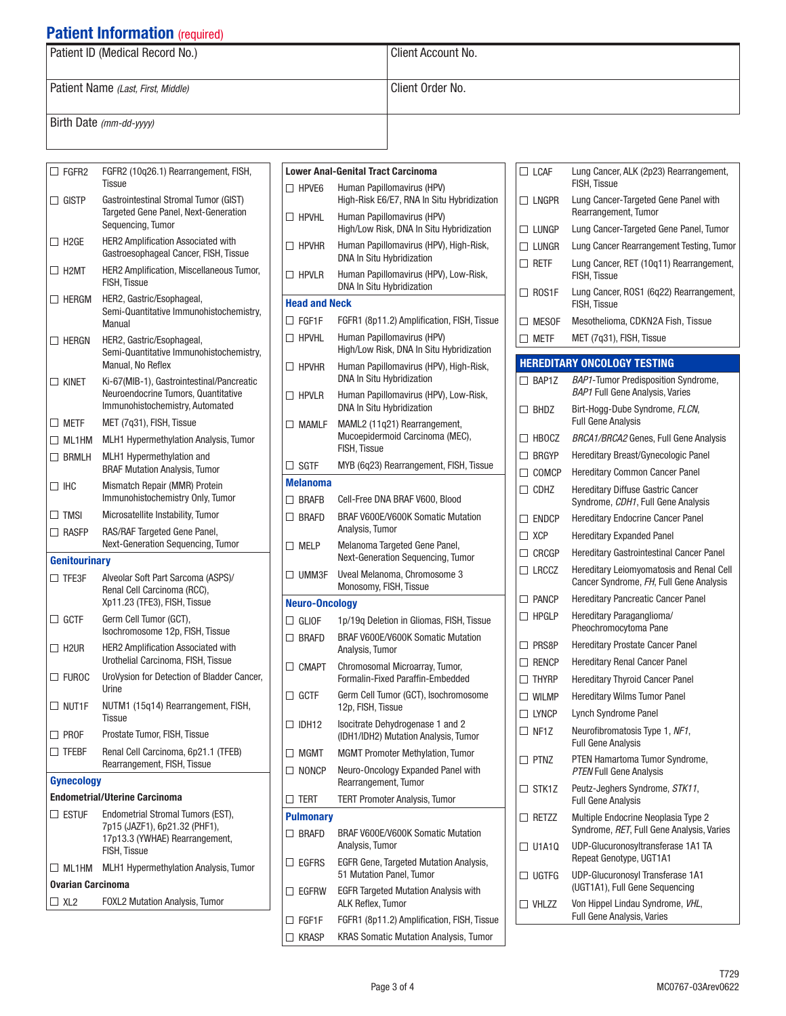## **Patient Information (required)**

| Patient ID (Medical Record No.)    | Client Account No. |  |
|------------------------------------|--------------------|--|
| Patient Name (Last, First, Middle) | Client Order No.   |  |
| Birth Date (mm-dd-yyyy)            |                    |  |

| $\Box$ FGFR2                           | FGFR2 (10q26.1) Rearrangement, FISH,<br><b>Tissue</b>                                                               |
|----------------------------------------|---------------------------------------------------------------------------------------------------------------------|
| $\Box$ GISTP                           | Gastrointestinal Stromal Tumor (GIST)<br>Targeted Gene Panel, Next-Generation<br>Sequencing, Tumor                  |
| $\Box$ h2ge                            | <b>HER2 Amplification Associated with</b><br>Gastroesophageal Cancer, FISH, Tissue                                  |
| $\Box$ H2MT                            | HER2 Amplification, Miscellaneous Tumor,<br><b>FISH, Tissue</b>                                                     |
| $\Box$ HFRGM                           | HER2, Gastric/Esophageal,<br>Semi-Quantitative Immunohistochemistry,<br>Manual                                      |
| $\Box$ Hergn                           | HER2, Gastric/Esophageal,<br>Semi-Quantitative Immunohistochemistry,<br>Manual, No Reflex                           |
| $\Box$ kinet                           | Ki-67(MIB-1), Gastrointestinal/Pancreatic<br>Neuroendocrine Tumors, Quantitative<br>Immunohistochemistry, Automated |
| $\square$ metf                         | MET (7q31), FISH, Tissue                                                                                            |
| $\Box$ ML1HM                           | MLH1 Hypermethylation Analysis, Tumor                                                                               |
| $\Box$ BRMLH                           | MLH1 Hypermethylation and<br><b>BRAF Mutation Analysis, Tumor</b>                                                   |
| □⊪с                                    | Mismatch Repair (MMR) Protein<br>Immunohistochemistry Only, Tumor                                                   |
| $\Box$ TMSI                            | Microsatellite Instability, Tumor                                                                                   |
| $\Box$ Rasfp                           | RAS/RAF Targeted Gene Panel,<br>Next-Generation Sequencing, Tumor                                                   |
|                                        |                                                                                                                     |
| <b>Genitourinary</b>                   |                                                                                                                     |
| $\Box$ TFE3F                           | Alveolar Soft Part Sarcoma (ASPS)/<br>Renal Cell Carcinoma (RCC),<br>Xp11.23 (TFE3), FISH, Tissue                   |
| $\Box$ GCTF                            | Germ Cell Tumor (GCT),<br>Isochromosome 12p, FISH, Tissue                                                           |
| $\Box$ H2UR                            | <b>HER2 Amplification Associated with</b><br>Urothelial Carcinoma, FISH, Tissue                                     |
| $\Box$ Furoc                           | UroVysion for Detection of Bladder Cancer,<br>Urine                                                                 |
| $\Box$ Nut1f                           | NUTM1 (15q14) Rearrangement, FISH,<br>Tissue                                                                        |
| $\square$ PROF                         | Prostate Tumor, FISH, Tissue                                                                                        |
| $\Box$ tfebf                           | Renal Cell Carcinoma, 6p21.1 (TFEB)<br>Rearrangement, FISH, Tissue                                                  |
| <b>Gynecology</b>                      |                                                                                                                     |
|                                        | <b>Endometrial/Uterine Carcinoma</b>                                                                                |
| $\Box$ estuf                           | Endometrial Stromal Tumors (EST),<br>7p15 (JAZF1), 6p21.32 (PHF1),                                                  |
|                                        | 17p13.3 (YWHAE) Rearrangement,<br><b>FISH, Tissue</b>                                                               |
| $\Box$ ML1HM                           | <b>MLH1 Hypermethylation Analysis, Tumor</b>                                                                        |
| <b>Ovarian Carcinoma</b><br>$\Box$ XL2 | <b>FOXL2 Mutation Analysis, Tumor</b>                                                                               |

| Human Papillomavirus (HPV)<br>$\Box$ HPVE6<br>High-Risk E6/E7, RNA In Situ Hybridization<br>Human Papillomavirus (HPV)<br>$\Box$ HPVHL<br>High/Low Risk, DNA In Situ Hybridization<br>Human Papillomavirus (HPV), High-Risk,<br>$\Box$ HPVHR<br><b>DNA In Situ Hybridization</b><br>Human Papillomavirus (HPV), Low-Risk,<br>$\Box$ hpvlr<br><b>DNA In Situ Hybridization</b><br><b>Head and Neck</b><br>FGFR1 (8p11.2) Amplification, FISH, Tissue<br>$\square$ FGF1F<br>Human Papillomavirus (HPV)<br>$\Box$ HPVHI<br>High/Low Risk, DNA In Situ Hybridization<br>Human Papillomavirus (HPV), High-Risk,<br>$\Box$ hpvhr<br>DNA In Situ Hybridization<br>Human Papillomavirus (HPV), Low-Risk,<br>$\Box$ hpvlr<br><b>DNA In Situ Hybridization</b><br>$\Box$ MAMLF<br>MAML2 (11q21) Rearrangement,<br>Mucoepidermoid Carcinoma (MEC),<br><b>FISH. Tissue</b><br>$\Box$ SGTF<br>MYB (6q23) Rearrangement, FISH, Tissue<br><b>Melanoma</b><br>$\Box$ BRAFB<br>Cell-Free DNA BRAF V600, Blood<br>BRAF V600E/V600K Somatic Mutation<br>$\Box$ Brafd<br>Analysis, Tumor<br>$\Box$ Melp<br>Melanoma Targeted Gene Panel,<br>Next-Generation Sequencing, Tumor<br>$\Box$ UMM3F<br>Uveal Melanoma, Chromosome 3<br>Monosomy, FISH, Tissue<br><b>Neuro-Oncology</b><br>$\Box$ Gliof<br>1p/19g Deletion in Gliomas, FISH, Tissue<br>BRAF V600E/V600K Somatic Mutation<br>$\Box$ BRAFD<br>Analysis, Tumor<br>$\Box$ CMAPT<br>Chromosomal Microarray, Tumor,<br>Formalin-Fixed Paraffin-Fmbedded<br>П<br>GCTF<br>Germ Cell Tumor (GCT), Isochromosome<br>12p, FISH, Tissue<br>Isocitrate Dehydrogenase 1 and 2<br>$\Box$ IDH12 |
|----------------------------------------------------------------------------------------------------------------------------------------------------------------------------------------------------------------------------------------------------------------------------------------------------------------------------------------------------------------------------------------------------------------------------------------------------------------------------------------------------------------------------------------------------------------------------------------------------------------------------------------------------------------------------------------------------------------------------------------------------------------------------------------------------------------------------------------------------------------------------------------------------------------------------------------------------------------------------------------------------------------------------------------------------------------------------------------------------------------------------------------------------------------------------------------------------------------------------------------------------------------------------------------------------------------------------------------------------------------------------------------------------------------------------------------------------------------------------------------------------------------------------------------------------------------------------------------------------------------------|
|                                                                                                                                                                                                                                                                                                                                                                                                                                                                                                                                                                                                                                                                                                                                                                                                                                                                                                                                                                                                                                                                                                                                                                                                                                                                                                                                                                                                                                                                                                                                                                                                                      |
|                                                                                                                                                                                                                                                                                                                                                                                                                                                                                                                                                                                                                                                                                                                                                                                                                                                                                                                                                                                                                                                                                                                                                                                                                                                                                                                                                                                                                                                                                                                                                                                                                      |
|                                                                                                                                                                                                                                                                                                                                                                                                                                                                                                                                                                                                                                                                                                                                                                                                                                                                                                                                                                                                                                                                                                                                                                                                                                                                                                                                                                                                                                                                                                                                                                                                                      |
|                                                                                                                                                                                                                                                                                                                                                                                                                                                                                                                                                                                                                                                                                                                                                                                                                                                                                                                                                                                                                                                                                                                                                                                                                                                                                                                                                                                                                                                                                                                                                                                                                      |
|                                                                                                                                                                                                                                                                                                                                                                                                                                                                                                                                                                                                                                                                                                                                                                                                                                                                                                                                                                                                                                                                                                                                                                                                                                                                                                                                                                                                                                                                                                                                                                                                                      |
|                                                                                                                                                                                                                                                                                                                                                                                                                                                                                                                                                                                                                                                                                                                                                                                                                                                                                                                                                                                                                                                                                                                                                                                                                                                                                                                                                                                                                                                                                                                                                                                                                      |
|                                                                                                                                                                                                                                                                                                                                                                                                                                                                                                                                                                                                                                                                                                                                                                                                                                                                                                                                                                                                                                                                                                                                                                                                                                                                                                                                                                                                                                                                                                                                                                                                                      |
|                                                                                                                                                                                                                                                                                                                                                                                                                                                                                                                                                                                                                                                                                                                                                                                                                                                                                                                                                                                                                                                                                                                                                                                                                                                                                                                                                                                                                                                                                                                                                                                                                      |
|                                                                                                                                                                                                                                                                                                                                                                                                                                                                                                                                                                                                                                                                                                                                                                                                                                                                                                                                                                                                                                                                                                                                                                                                                                                                                                                                                                                                                                                                                                                                                                                                                      |
|                                                                                                                                                                                                                                                                                                                                                                                                                                                                                                                                                                                                                                                                                                                                                                                                                                                                                                                                                                                                                                                                                                                                                                                                                                                                                                                                                                                                                                                                                                                                                                                                                      |
|                                                                                                                                                                                                                                                                                                                                                                                                                                                                                                                                                                                                                                                                                                                                                                                                                                                                                                                                                                                                                                                                                                                                                                                                                                                                                                                                                                                                                                                                                                                                                                                                                      |
|                                                                                                                                                                                                                                                                                                                                                                                                                                                                                                                                                                                                                                                                                                                                                                                                                                                                                                                                                                                                                                                                                                                                                                                                                                                                                                                                                                                                                                                                                                                                                                                                                      |
|                                                                                                                                                                                                                                                                                                                                                                                                                                                                                                                                                                                                                                                                                                                                                                                                                                                                                                                                                                                                                                                                                                                                                                                                                                                                                                                                                                                                                                                                                                                                                                                                                      |
|                                                                                                                                                                                                                                                                                                                                                                                                                                                                                                                                                                                                                                                                                                                                                                                                                                                                                                                                                                                                                                                                                                                                                                                                                                                                                                                                                                                                                                                                                                                                                                                                                      |
|                                                                                                                                                                                                                                                                                                                                                                                                                                                                                                                                                                                                                                                                                                                                                                                                                                                                                                                                                                                                                                                                                                                                                                                                                                                                                                                                                                                                                                                                                                                                                                                                                      |
|                                                                                                                                                                                                                                                                                                                                                                                                                                                                                                                                                                                                                                                                                                                                                                                                                                                                                                                                                                                                                                                                                                                                                                                                                                                                                                                                                                                                                                                                                                                                                                                                                      |
|                                                                                                                                                                                                                                                                                                                                                                                                                                                                                                                                                                                                                                                                                                                                                                                                                                                                                                                                                                                                                                                                                                                                                                                                                                                                                                                                                                                                                                                                                                                                                                                                                      |
|                                                                                                                                                                                                                                                                                                                                                                                                                                                                                                                                                                                                                                                                                                                                                                                                                                                                                                                                                                                                                                                                                                                                                                                                                                                                                                                                                                                                                                                                                                                                                                                                                      |
|                                                                                                                                                                                                                                                                                                                                                                                                                                                                                                                                                                                                                                                                                                                                                                                                                                                                                                                                                                                                                                                                                                                                                                                                                                                                                                                                                                                                                                                                                                                                                                                                                      |
|                                                                                                                                                                                                                                                                                                                                                                                                                                                                                                                                                                                                                                                                                                                                                                                                                                                                                                                                                                                                                                                                                                                                                                                                                                                                                                                                                                                                                                                                                                                                                                                                                      |
|                                                                                                                                                                                                                                                                                                                                                                                                                                                                                                                                                                                                                                                                                                                                                                                                                                                                                                                                                                                                                                                                                                                                                                                                                                                                                                                                                                                                                                                                                                                                                                                                                      |
|                                                                                                                                                                                                                                                                                                                                                                                                                                                                                                                                                                                                                                                                                                                                                                                                                                                                                                                                                                                                                                                                                                                                                                                                                                                                                                                                                                                                                                                                                                                                                                                                                      |
| (IDH1/IDH2) Mutation Analysis, Tumor                                                                                                                                                                                                                                                                                                                                                                                                                                                                                                                                                                                                                                                                                                                                                                                                                                                                                                                                                                                                                                                                                                                                                                                                                                                                                                                                                                                                                                                                                                                                                                                 |
| <b>MGMT Promoter Methylation, Tumor</b><br>$\Box$ MGMT                                                                                                                                                                                                                                                                                                                                                                                                                                                                                                                                                                                                                                                                                                                                                                                                                                                                                                                                                                                                                                                                                                                                                                                                                                                                                                                                                                                                                                                                                                                                                               |
| $\Box$ noncp<br>Neuro-Oncology Expanded Panel with<br>Rearrangement, Tumor                                                                                                                                                                                                                                                                                                                                                                                                                                                                                                                                                                                                                                                                                                                                                                                                                                                                                                                                                                                                                                                                                                                                                                                                                                                                                                                                                                                                                                                                                                                                           |
| TERT Promoter Analysis, Tumor<br>$\Box$ TERT                                                                                                                                                                                                                                                                                                                                                                                                                                                                                                                                                                                                                                                                                                                                                                                                                                                                                                                                                                                                                                                                                                                                                                                                                                                                                                                                                                                                                                                                                                                                                                         |
| <b>Pulmonary</b>                                                                                                                                                                                                                                                                                                                                                                                                                                                                                                                                                                                                                                                                                                                                                                                                                                                                                                                                                                                                                                                                                                                                                                                                                                                                                                                                                                                                                                                                                                                                                                                                     |
| BRAF V600E/V600K Somatic Mutation<br>$\Box$ BRAFD<br>Analysis, Tumor                                                                                                                                                                                                                                                                                                                                                                                                                                                                                                                                                                                                                                                                                                                                                                                                                                                                                                                                                                                                                                                                                                                                                                                                                                                                                                                                                                                                                                                                                                                                                 |
| <b>EGFRS</b><br>EGFR Gene, Targeted Mutation Analysis,<br>П<br>51 Mutation Panel, Tumor                                                                                                                                                                                                                                                                                                                                                                                                                                                                                                                                                                                                                                                                                                                                                                                                                                                                                                                                                                                                                                                                                                                                                                                                                                                                                                                                                                                                                                                                                                                              |
| <b>EGFR Targeted Mutation Analysis with</b><br>EGFRW<br>ALK Reflex, Tumor                                                                                                                                                                                                                                                                                                                                                                                                                                                                                                                                                                                                                                                                                                                                                                                                                                                                                                                                                                                                                                                                                                                                                                                                                                                                                                                                                                                                                                                                                                                                            |
| FGFR1 (8p11.2) Amplification, FISH, Tissue<br>FGF1F                                                                                                                                                                                                                                                                                                                                                                                                                                                                                                                                                                                                                                                                                                                                                                                                                                                                                                                                                                                                                                                                                                                                                                                                                                                                                                                                                                                                                                                                                                                                                                  |
| KRAS Somatic Mutation Analysis, Tumor<br><b>KRASP</b>                                                                                                                                                                                                                                                                                                                                                                                                                                                                                                                                                                                                                                                                                                                                                                                                                                                                                                                                                                                                                                                                                                                                                                                                                                                                                                                                                                                                                                                                                                                                                                |

|              | $\Box$ LCAF        | Lung Cancer, ALK (2p23) Rearrangement,<br><b>FISH, Tissue</b>                        |
|--------------|--------------------|--------------------------------------------------------------------------------------|
|              | $\Box$ LNGPR       | Lung Cancer-Targeted Gene Panel with<br>Rearrangement, Tumor                         |
|              | $\Box$ Lungp       | Lung Cancer-Targeted Gene Panel, Tumor                                               |
|              | $\Box$ Lungr       | Lung Cancer Rearrangement Testing, Tumor                                             |
|              | $\Box$ Retf        | Lung Cancer, RET (10q11) Rearrangement,<br><b>FISH, Tissue</b>                       |
|              | $\Box$ ROS1F       | Lung Cancer, ROS1 (6g22) Rearrangement,<br>FISH, Tissue                              |
| $\Box$       | <b>MESOF</b>       | Mesothelioma, CDKN2A Fish, Tissue                                                    |
|              | $\square$ METF     | MET (7q31), FISH, Tissue                                                             |
|              |                    | <b>HEREDITARY ONCOLOGY TESTING</b>                                                   |
|              | $\Box$ BAP1Z       | <b>BAP1-Tumor Predisposition Syndrome,</b><br><b>BAP1 Full Gene Analysis, Varies</b> |
|              | $\Box$ BHDZ        | Birt-Hogg-Dube Syndrome, FLCN,<br><b>Full Gene Analysis</b>                          |
|              | $\Box$ HBOCZ       | <b>BRCA1/BRCA2 Genes, Full Gene Analysis</b>                                         |
|              | $\Box$ Brgyp       | Hereditary Breast/Gynecologic Panel                                                  |
|              | $\Box$ comcp       | <b>Hereditary Common Cancer Panel</b>                                                |
|              | $\Box$ CDHZ        | <b>Hereditary Diffuse Gastric Cancer</b><br>Syndrome, CDH1, Full Gene Analysis       |
|              | $\Box$ endcp       | <b>Hereditary Endocrine Cancer Panel</b>                                             |
|              | $\Box$ XCP         | <b>Hereditary Expanded Panel</b>                                                     |
|              | $\Box$ crcgp       | Hereditary Gastrointestinal Cancer Panel                                             |
|              | $\Box$ LRCCZ       | Hereditary Leiomyomatosis and Renal Cell<br>Cancer Syndrome, FH, Full Gene Analysis  |
|              | $\Box$ PANCP       | <b>Hereditary Pancreatic Cancer Panel</b>                                            |
|              | $\Box$ HPGLP       | Hereditary Paraganglioma/<br>Pheochromocytoma Pane                                   |
|              | $\Box$ PRS8P       | <b>Hereditary Prostate Cancer Panel</b>                                              |
|              | $\Box$ Rencp       | <b>Hereditary Renal Cancer Panel</b>                                                 |
|              | $\Box$ Thyrp       | <b>Hereditary Thyroid Cancer Panel</b>                                               |
|              | $\Box$ WILMP       | <b>Hereditary Wilms Tumor Panel</b>                                                  |
|              | $\Box$ LYNCP       | Lynch Syndrome Panel                                                                 |
|              | $\Box$ NF1Z        | Neurofibromatosis Type 1, NF1,<br><b>Full Gene Analysis</b>                          |
| $\mathsf{L}$ | PTNZ               | PTEN Hamartoma Tumor Syndrome,<br><b>PTEN Full Gene Analysis</b>                     |
|              | STK <sub>1</sub> Z | Peutz-Jeghers Syndrome, STK11,<br><b>Full Gene Analysis</b>                          |
| $\mathsf{L}$ | RETZZ              | Multiple Endocrine Neoplasia Type 2<br>Syndrome, RET, Full Gene Analysis, Varies     |
| $\mathsf{L}$ | U1A1Q              | UDP-Glucuronosyltransferase 1A1 TA<br>Repeat Genotype, UGT1A1                        |
| $\mathsf{L}$ | UGTFG              | UDP-Glucuronosyl Transferase 1A1<br>(UGT1A1), Full Gene Sequencing                   |
|              | $\Box$ VHLZZ       | Von Hippel Lindau Syndrome, VHL,<br><b>Full Gene Analysis, Varies</b>                |
|              |                    |                                                                                      |